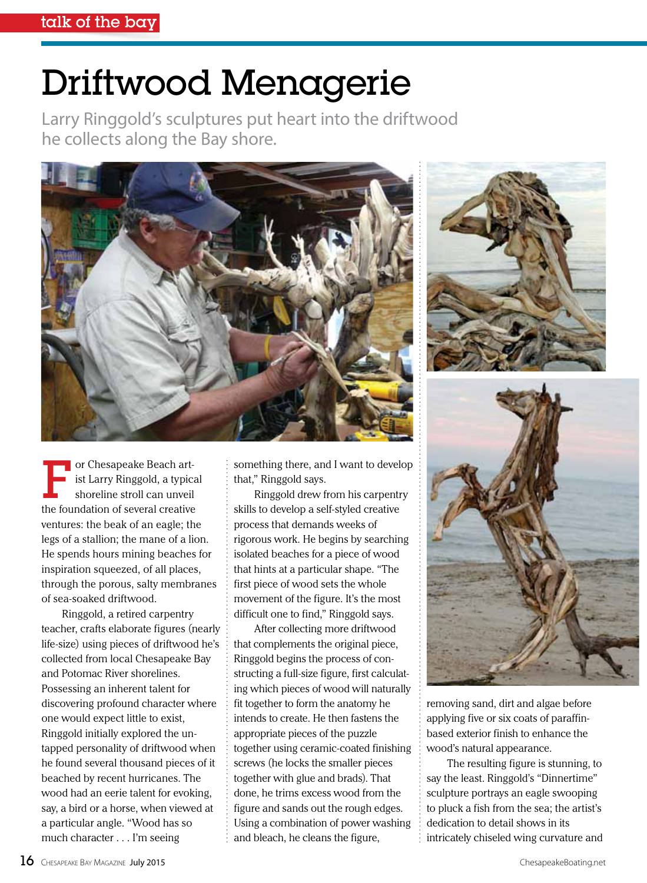## Driftwood Menagerie

Larry Ringgold's sculptures put heart into the driftwood he collects along the Bay shore.





Ringgold, a retired carpentry teacher, crafts elaborate figures (nearly life-size) using pieces of driftwood he's collected from local Chesapeake Bay and Potomac River shorelines. Possessing an inherent talent for discovering profound character where one would expect little to exist, Ringgold initially explored the untapped personality of driftwood when he found several thousand pieces of it beached by recent hurricanes. The wood had an eerie talent for evoking, say, a bird or a horse, when viewed at a particular angle. "Wood has so much character . . . I'm seeing

something there, and I want to develop that," Ringgold says.

Ringgold drew from his carpentry skills to develop a self-styled creative process that demands weeks of rigorous work. He begins by searching isolated beaches for a piece of wood that hints at a particular shape. "The first piece of wood sets the whole movement of the figure. It's the most difficult one to find," Ringgold says.

After collecting more driftwood that complements the original piece, Ringgold begins the process of constructing a full-size figure, first calculating which pieces of wood will naturally fit together to form the anatomy he intends to create. He then fastens the appropriate pieces of the puzzle together using ceramic-coated finishing screws (he locks the smaller pieces together with glue and brads). That done, he trims excess wood from the figure and sands out the rough edges. Using a combination of power washing and bleach, he cleans the figure,





removing sand, dirt and algae before applying five or six coats of paraffinbased exterior finish to enhance the wood's natural appearance.

The resulting figure is stunning, to say the least. Ringgold's "Dinnertime" sculpture portrays an eagle swooping to pluck a fish from the sea; the artist's dedication to detail shows in its intricately chiseled wing curvature and